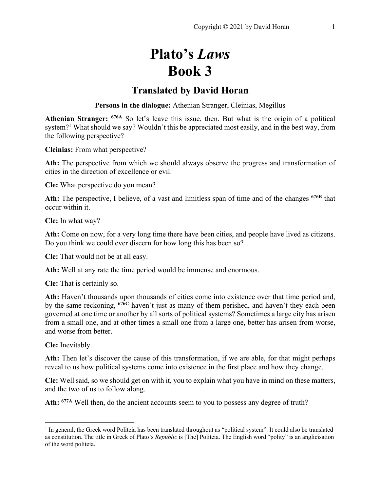# **Plato's** *Laws* **Book 3**

# **Translated by David Horan**

**Persons in the dialogue:** Athenian Stranger, Cleinias, Megillus

**Athenian Stranger: 676A** So let's leave this issue, then. But what is the origin of a political system?<sup>1</sup> What should we say? Wouldn't this be appreciated most easily, and in the best way, from the following perspective?

**Cleinias:** From what perspective?

Ath: The perspective from which we should always observe the progress and transformation of cities in the direction of excellence or evil.

**Cle:** What perspective do you mean?

**Ath:** The perspective, I believe, of a vast and limitless span of time and of the changes **676B** that occur within it.

**Cle:** In what way?

**Ath:** Come on now, for a very long time there have been cities, and people have lived as citizens. Do you think we could ever discern for how long this has been so?

**Cle:** That would not be at all easy.

**Ath:** Well at any rate the time period would be immense and enormous.

**Cle:** That is certainly so.

**Ath:** Haven't thousands upon thousands of cities come into existence over that time period and, by the same reckoning, **676C** haven't just as many of them perished, and haven't they each been governed at one time or another by all sorts of political systems? Sometimes a large city has arisen from a small one, and at other times a small one from a large one, better has arisen from worse, and worse from better.

**Cle:** Inevitably.

Ath: Then let's discover the cause of this transformation, if we are able, for that might perhaps reveal to us how political systems come into existence in the first place and how they change.

**Cle:** Well said, so we should get on with it, you to explain what you have in mind on these matters, and the two of us to follow along.

**Ath: 677A** Well then, do the ancient accounts seem to you to possess any degree of truth?

<sup>&</sup>lt;sup>1</sup> In general, the Greek word Politeia has been translated throughout as "political system". It could also be translated as constitution. The title in Greek of Plato's *Republic* is [The] Politeia. The English word "polity" is an anglicisation of the word politeia.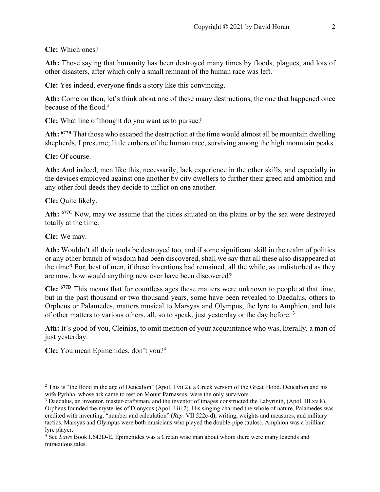**Cle:** Which ones?

**Ath:** Those saying that humanity has been destroyed many times by floods, plagues, and lots of other disasters, after which only a small remnant of the human race was left.

**Cle:** Yes indeed, everyone finds a story like this convincing.

Ath: Come on then, let's think about one of these many destructions, the one that happened once because of the flood.2

**Cle:** What line of thought do you want us to pursue?

**Ath: 677B** That those who escaped the destruction at the time would almost all be mountain dwelling shepherds, I presume; little embers of the human race, surviving among the high mountain peaks.

**Cle:** Of course.

**Ath:** And indeed, men like this, necessarily, lack experience in the other skills, and especially in the devices employed against one another by city dwellers to further their greed and ambition and any other foul deeds they decide to inflict on one another.

**Cle:** Quite likely.

**Ath: 677C** Now, may we assume that the cities situated on the plains or by the sea were destroyed totally at the time.

**Cle:** We may.

**Ath:** Wouldn't all their tools be destroyed too, and if some significant skill in the realm of politics or any other branch of wisdom had been discovered, shall we say that all these also disappeared at the time? For, best of men, if these inventions had remained, all the while, as undisturbed as they are now, how would anything new ever have been discovered?

**Cle: 677D** This means that for countless ages these matters were unknown to people at that time, but in the past thousand or two thousand years, some have been revealed to Daedalus, others to Orpheus or Palamedes, matters musical to Marsyas and Olympus, the lyre to Amphion, and lots of other matters to various others, all, so to speak, just yesterday or the day before. 3

**Ath:** It's good of you, Cleinias, to omit mention of your acquaintance who was, literally, a man of just yesterday.

**Cle:** You mean Epimenides, don't you?4

<sup>&</sup>lt;sup>2</sup> This is "the flood in the age of Deucalion" (Apol. I.vii.2), a Greek version of the Great Flood. Deucalion and his wife Pyrhha, whose ark came to rest on Mount Parnassus, were the only survivors.

<sup>3</sup> Daedalus, an inventor, master-craftsman, and the inventor of images constructed the Labyrinth, (Apol. III.xv.8). Orpheus founded the mysteries of Dionysus (Apol. I.iii.2). His singing charmed the whole of nature. Palamedes was credited with inventing, "number and calculation" (*Rep.* VII 522c-d), writing, weights and measures, and military tactics. Marsyas and Olympus were both musicians who played the double-pipe (aulos). Amphion was a brilliant lyre player.

<sup>4</sup> See *Laws* Book I.642D-E. Epimenides was a Cretan wise man about whom there were many legends and miraculous tales.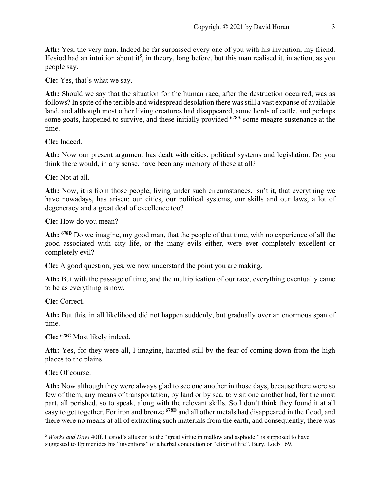**Ath:** Yes, the very man. Indeed he far surpassed every one of you with his invention, my friend. Hesiod had an intuition about it<sup>5</sup>, in theory, long before, but this man realised it, in action, as you people say.

**Cle:** Yes, that's what we say.

**Ath:** Should we say that the situation for the human race, after the destruction occurred, was as follows? In spite of the terrible and widespread desolation there was still a vast expanse of available land, and although most other living creatures had disappeared, some herds of cattle, and perhaps some goats, happened to survive, and these initially provided **678A** some meagre sustenance at the time.

**Cle:** Indeed.

**Ath:** Now our present argument has dealt with cities, political systems and legislation. Do you think there would, in any sense, have been any memory of these at all?

**Cle:** Not at all.

**Ath:** Now, it is from those people, living under such circumstances, isn't it, that everything we have nowadays, has arisen: our cities, our political systems, our skills and our laws, a lot of degeneracy and a great deal of excellence too?

**Cle:** How do you mean?

**Ath: 678B** Do we imagine, my good man, that the people of that time, with no experience of all the good associated with city life, or the many evils either, were ever completely excellent or completely evil?

**Cle:** A good question, yes, we now understand the point you are making.

**Ath:** But with the passage of time, and the multiplication of our race, everything eventually came to be as everything is now.

**Cle:** Correct*.*

Ath: But this, in all likelihood did not happen suddenly, but gradually over an enormous span of time.

**Cle: 678C** Most likely indeed.

**Ath:** Yes, for they were all, I imagine, haunted still by the fear of coming down from the high places to the plains.

**Cle:** Of course.

**Ath:** Now although they were always glad to see one another in those days, because there were so few of them, any means of transportation, by land or by sea, to visit one another had, for the most part, all perished, so to speak, along with the relevant skills. So I don't think they found it at all easy to get together. For iron and bronze **678D** and all other metals had disappeared in the flood, and there were no means at all of extracting such materials from the earth, and consequently, there was

<sup>5</sup> *Works and Days* 40ff. Hesiod's allusion to the "great virtue in mallow and asphodel" is supposed to have suggested to Epimenides his "inventions" of a herbal concoction or "elixir of life". Bury, Loeb 169.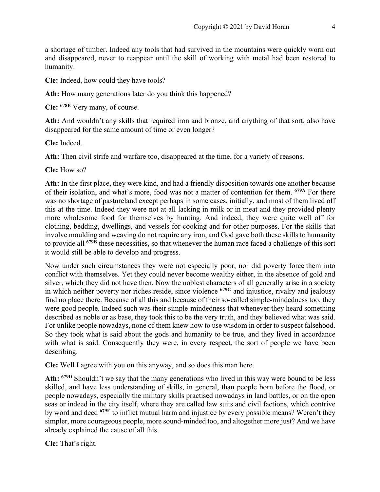a shortage of timber. Indeed any tools that had survived in the mountains were quickly worn out and disappeared, never to reappear until the skill of working with metal had been restored to humanity.

**Cle:** Indeed, how could they have tools?

Ath: How many generations later do you think this happened?

**Cle: 678E** Very many, of course.

Ath: And wouldn't any skills that required iron and bronze, and anything of that sort, also have disappeared for the same amount of time or even longer?

**Cle:** Indeed.

**Ath:** Then civil strife and warfare too, disappeared at the time, for a variety of reasons.

**Cle:** How so?

**Ath:** In the first place, they were kind, and had a friendly disposition towards one another because of their isolation, and what's more, food was not a matter of contention for them. **679A** For there was no shortage of pastureland except perhaps in some cases, initially, and most of them lived off this at the time. Indeed they were not at all lacking in milk or in meat and they provided plenty more wholesome food for themselves by hunting. And indeed, they were quite well off for clothing, bedding, dwellings, and vessels for cooking and for other purposes. For the skills that involve moulding and weaving do not require any iron, and God gave both these skills to humanity to provide all **679B** these necessities, so that whenever the human race faced a challenge of this sort it would still be able to develop and progress.

Now under such circumstances they were not especially poor, nor did poverty force them into conflict with themselves. Yet they could never become wealthy either, in the absence of gold and silver, which they did not have then. Now the noblest characters of all generally arise in a society in which neither poverty nor riches reside, since violence **679C** and injustice, rivalry and jealousy find no place there. Because of all this and because of their so-called simple-mindedness too, they were good people. Indeed such was their simple-mindedness that whenever they heard something described as noble or as base, they took this to be the very truth, and they believed what was said. For unlike people nowadays, none of them knew how to use wisdom in order to suspect falsehood. So they took what is said about the gods and humanity to be true, and they lived in accordance with what is said. Consequently they were, in every respect, the sort of people we have been describing.

**Cle:** Well I agree with you on this anyway, and so does this man here.

**Ath: 679D** Shouldn't we say that the many generations who lived in this way were bound to be less skilled, and have less understanding of skills, in general, than people born before the flood, or people nowadays, especially the military skills practised nowadays in land battles, or on the open seas or indeed in the city itself, where they are called law suits and civil factions, which contrive by word and deed **679E** to inflict mutual harm and injustice by every possible means? Weren't they simpler, more courageous people, more sound-minded too, and altogether more just? And we have already explained the cause of all this.

**Cle:** That's right.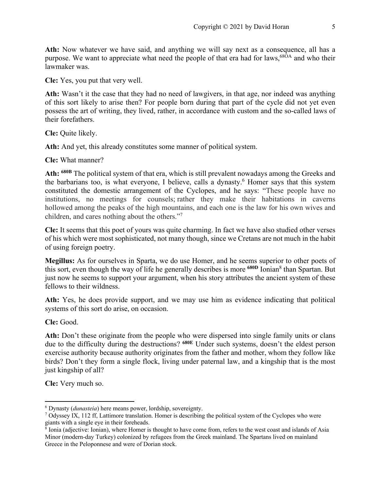**Ath:** Now whatever we have said, and anything we will say next as a consequence, all has a purpose. We want to appreciate what need the people of that era had for laws,<sup>68OA</sup> and who their lawmaker was.

**Cle:** Yes, you put that very well.

**Ath:** Wasn't it the case that they had no need of lawgivers, in that age, nor indeed was anything of this sort likely to arise then? For people born during that part of the cycle did not yet even possess the art of writing, they lived, rather, in accordance with custom and the so-called laws of their forefathers.

**Cle:** Quite likely.

Ath: And yet, this already constitutes some manner of political system.

**Cle:** What manner?

**Ath: 680B** The political system of that era, which is still prevalent nowadays among the Greeks and the barbarians too, is what everyone, I believe, calls a dynasty.<sup>6</sup> Homer says that this system constituted the domestic arrangement of the Cyclopes, and he says: "These people have no institutions, no meetings for counsels; rather they make their habitations in caverns hollowed among the peaks of the high mountains, and each one is the law for his own wives and children, and cares nothing about the others."7

**Cle:** It seems that this poet of yours was quite charming. In fact we have also studied other verses of his which were most sophisticated, not many though, since we Cretans are not much in the habit of using foreign poetry.

**Megillus:** As for ourselves in Sparta, we do use Homer, and he seems superior to other poets of this sort, even though the way of life he generally describes is more **680D** Ionian8 than Spartan. But just now he seems to support your argument, when his story attributes the ancient system of these fellows to their wildness.

**Ath:** Yes, he does provide support, and we may use him as evidence indicating that political systems of this sort do arise, on occasion.

**Cle:** Good.

Ath: Don't these originate from the people who were dispersed into single family units or clans due to the difficulty during the destructions? **680E** Under such systems, doesn't the eldest person exercise authority because authority originates from the father and mother, whom they follow like birds? Don't they form a single flock, living under paternal law, and a kingship that is the most just kingship of all?

**Cle:** Very much so.

<sup>6</sup> Dynasty (*dunasteia*) here means power, lordship, sovereignty.

<sup>7</sup> Odyssey IX, 112 ff, Lattimore translation. Homer is describing the political system of the Cyclopes who were giants with a single eye in their foreheads.

 $8$  Ionia (adjective: Ionian), where Homer is thought to have come from, refers to the west coast and islands of Asia Minor (modern-day Turkey) colonized by refugees from the Greek mainland. The Spartans lived on mainland Greece in the Peloponnese and were of Dorian stock.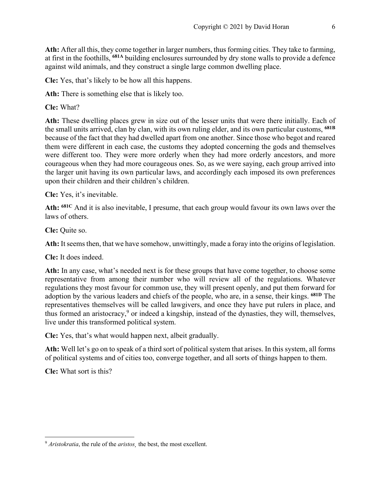**Ath:** After all this, they come together in larger numbers, thus forming cities. They take to farming, at first in the foothills, **681A** building enclosures surrounded by dry stone walls to provide a defence against wild animals, and they construct a single large common dwelling place.

**Cle:** Yes, that's likely to be how all this happens.

**Ath:** There is something else that is likely too.

**Cle:** What?

**Ath:** These dwelling places grew in size out of the lesser units that were there initially. Each of the small units arrived, clan by clan, with its own ruling elder, and its own particular customs, **681B** because of the fact that they had dwelled apart from one another. Since those who begot and reared them were different in each case, the customs they adopted concerning the gods and themselves were different too. They were more orderly when they had more orderly ancestors, and more courageous when they had more courageous ones. So, as we were saying, each group arrived into the larger unit having its own particular laws, and accordingly each imposed its own preferences upon their children and their children's children.

**Cle:** Yes, it's inevitable.

**Ath: 681C** And it is also inevitable, I presume, that each group would favour its own laws over the laws of others.

**Cle:** Quite so.

**Ath:** It seems then, that we have somehow, unwittingly, made a foray into the origins of legislation.

**Cle:** It does indeed.

**Ath:** In any case, what's needed next is for these groups that have come together, to choose some representative from among their number who will review all of the regulations. Whatever regulations they most favour for common use, they will present openly, and put them forward for adoption by the various leaders and chiefs of the people, who are, in a sense, their kings. **681D** The representatives themselves will be called lawgivers, and once they have put rulers in place, and thus formed an aristocracy,<sup>9</sup> or indeed a kingship, instead of the dynasties, they will, themselves, live under this transformed political system.

**Cle:** Yes, that's what would happen next, albeit gradually.

**Ath:** Well let's go on to speak of a third sort of political system that arises. In this system, all forms of political systems and of cities too, converge together, and all sorts of things happen to them.

**Cle:** What sort is this?

<sup>9</sup> *Aristokratia*, the rule of the *aristos¸* the best, the most excellent.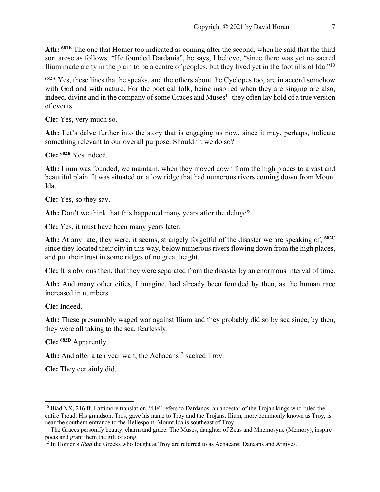**Ath: 681E** The one that Homer too indicated as coming after the second, when he said that the third sort arose as follows: "He founded Dardania", he says, I believe, "since there was yet no sacred Ilium made a city in the plain to be a centre of peoples, but they lived yet in the foothills of Ida."10

**682A** Yes, these lines that he speaks, and the others about the Cyclopes too, are in accord somehow with God and with nature. For the poetical folk, being inspired when they are singing are also, indeed, divine and in the company of some Graces and Muses<sup>11</sup> they often lay hold of a true version of events.

**Cle:** Yes, very much so.

Ath: Let's delve further into the story that is engaging us now, since it may, perhaps, indicate something relevant to our overall purpose. Shouldn't we do so?

**Cle: 682B** Yes indeed.

**Ath:** Ilium was founded, we maintain, when they moved down from the high places to a vast and beautiful plain. It was situated on a low ridge that had numerous rivers coming down from Mount Ida.

**Cle:** Yes, so they say.

Ath: Don't we think that this happened many years after the deluge?

**Cle:** Yes, it must have been many years later.

**Ath:** At any rate, they were, it seems, strangely forgetful of the disaster we are speaking of, **682C** since they located their city in this way, below numerous rivers flowing down from the high places, and put their trust in some ridges of no great height.

**Cle:** It is obvious then, that they were separated from the disaster by an enormous interval of time.

Ath: And many other cities, I imagine, had already been founded by then, as the human race increased in numbers.

**Cle:** Indeed.

**Ath:** These presumably waged war against Ilium and they probably did so by sea since, by then, they were all taking to the sea, fearlessly.

**Cle: 682D** Apparently.

Ath: And after a ten year wait, the Achaeans<sup>12</sup> sacked Troy.

**Cle:** They certainly did.

 $10$  Iliad XX, 216 ff. Lattimore translation. "He" refers to Dardanos, an ancestor of the Trojan kings who ruled the entire Troad. His grandson, Tros, gave his name to Troy and the Trojans. Ilium, more commonly known as Troy, is near the southern entrance to the Hellespont. Mount Ida is southeast of Troy.

<sup>&</sup>lt;sup>11</sup> The Graces personify beauty, charm and grace. The Muses, daughter of Zeus and Mnemosyne (Memory), inspire poets and grant them the gift of song.

<sup>&</sup>lt;sup>12</sup> In Homer's *Iliad* the Greeks who fought at Troy are referred to as Achaeans, Danaans and Argives.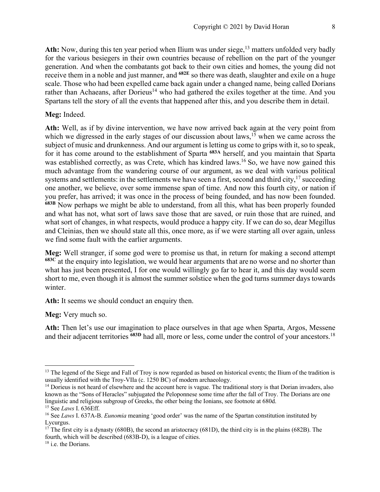Ath: Now, during this ten year period when Ilium was under siege,<sup>13</sup> matters unfolded very badly for the various besiegers in their own countries because of rebellion on the part of the younger generation. And when the combatants got back to their own cities and homes, the young did not receive them in a noble and just manner, and **682E** so there was death, slaughter and exile on a huge scale. Those who had been expelled came back again under a changed name, being called Dorians rather than Achaeans, after Dorieus<sup>14</sup> who had gathered the exiles together at the time. And you Spartans tell the story of all the events that happened after this, and you describe them in detail.

#### **Meg:** Indeed.

**Ath:** Well, as if by divine intervention, we have now arrived back again at the very point from which we digressed in the early stages of our discussion about laws,<sup>15</sup> when we came across the subject of music and drunkenness. And our argument is letting us come to grips with it, so to speak, for it has come around to the establishment of Sparta **683A** herself, and you maintain that Sparta was established correctly, as was Crete, which has kindred laws.<sup>16</sup> So, we have now gained this much advantage from the wandering course of our argument, as we deal with various political systems and settlements: in the settlements we have seen a first, second and third city,  $17$  succeeding one another, we believe, over some immense span of time. And now this fourth city, or nation if you prefer, has arrived; it was once in the process of being founded, and has now been founded. **683B** Now perhaps we might be able to understand, from all this, what has been properly founded and what has not, what sort of laws save those that are saved, or ruin those that are ruined, and what sort of changes, in what respects, would produce a happy city. If we can do so, dear Megillus and Cleinias, then we should state all this, once more, as if we were starting all over again, unless we find some fault with the earlier arguments.

**Meg:** Well stranger, if some god were to promise us that, in return for making a second attempt **683C** at the enquiry into legislation, we would hear arguments that are no worse and no shorter than what has just been presented, I for one would willingly go far to hear it, and this day would seem short to me, even though it is almost the summer solstice when the god turns summer days towards winter.

Ath: It seems we should conduct an enquiry then.

**Meg:** Very much so.

**Ath:** Then let's use our imagination to place ourselves in that age when Sparta, Argos, Messene and their adjacent territories **683D** had all, more or less, come under the control of your ancestors.18

<sup>&</sup>lt;sup>13</sup> The legend of the Siege and Fall of Troy is now regarded as based on historical events; the Ilium of the tradition is usually identified with the Troy-VIIa (c. 1250 BC) of modern archaeology.

 $14$  Dorieus is not heard of elsewhere and the account here is vague. The traditional story is that Dorian invaders, also known as the "Sons of Heracles" subjugated the Peloponnese some time after the fall of Troy. The Dorians are one linguistic and religious subgroup of Greeks, the other being the Ionians, see footnote at 680d.

<sup>15</sup> See *Laws* I. 636Eff.

<sup>16</sup> See *Laws* I. 637A-B. *Eunomia* meaning 'good order' was the name of the Spartan constitution instituted by Lycurgus.

<sup>&</sup>lt;sup>17</sup> The first city is a dynasty (680B), the second an aristocracy (681D), the third city is in the plains (682B). The fourth, which will be described (683B-D), is a league of cities.

<sup>&</sup>lt;sup>18</sup> i.e. the Dorians.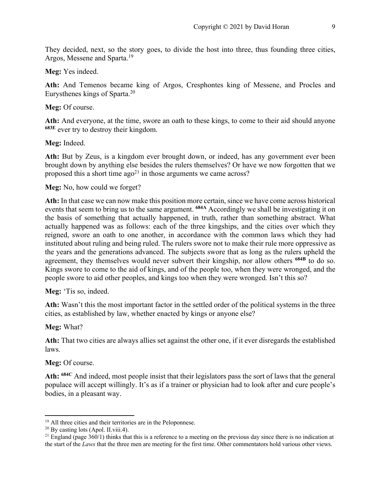They decided, next, so the story goes, to divide the host into three, thus founding three cities, Argos, Messene and Sparta.19

#### **Meg:** Yes indeed.

**Ath:** And Temenos became king of Argos, Cresphontes king of Messene, and Procles and Eurysthenes kings of Sparta.20

#### Meg: Of course.

**Ath:** And everyone, at the time, swore an oath to these kings, to come to their aid should anyone **683E** ever try to destroy their kingdom.

#### **Meg:** Indeed.

**Ath:** But by Zeus, is a kingdom ever brought down, or indeed, has any government ever been brought down by anything else besides the rulers themselves? Or have we now forgotten that we proposed this a short time  $ago^{21}$  in those arguments we came across?

#### **Meg:** No, how could we forget?

**Ath:** In that case we can now make this position more certain, since we have come across historical events that seem to bring us to the same argument. **684A** Accordingly we shall be investigating it on the basis of something that actually happened, in truth, rather than something abstract. What actually happened was as follows: each of the three kingships, and the cities over which they reigned, swore an oath to one another, in accordance with the common laws which they had instituted about ruling and being ruled. The rulers swore not to make their rule more oppressive as the years and the generations advanced. The subjects swore that as long as the rulers upheld the agreement, they themselves would never subvert their kingship, nor allow others **684B** to do so. Kings swore to come to the aid of kings, and of the people too, when they were wronged, and the people swore to aid other peoples, and kings too when they were wronged. Isn't this so?

#### Meg: 'Tis so, indeed.

**Ath:** Wasn't this the most important factor in the settled order of the political systems in the three cities, as established by law, whether enacted by kings or anyone else?

#### **Meg:** What?

**Ath:** That two cities are always allies set against the other one, if it ever disregards the established laws.

#### **Meg:** Of course.

**Ath: 684C** And indeed, most people insist that their legislators pass the sort of laws that the general populace will accept willingly. It's as if a trainer or physician had to look after and cure people's bodies, in a pleasant way.

<sup>&</sup>lt;sup>19</sup> All three cities and their territories are in the Peloponnese.<br><sup>20</sup> By casting lots (Apol. II.viii.4).

<sup>&</sup>lt;sup>21</sup> England (page  $360/1$ ) thinks that this is a reference to a meeting on the previous day since there is no indication at the start of the *Laws* that the three men are meeting for the first time. Other commentators hold various other views.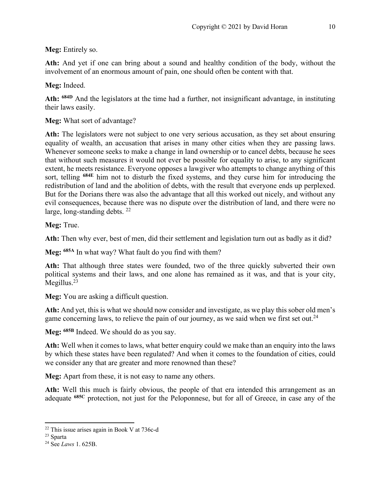**Meg:** Entirely so.

**Ath:** And yet if one can bring about a sound and healthy condition of the body, without the involvement of an enormous amount of pain, one should often be content with that.

**Meg:** Indeed.

**Ath: 684D** And the legislators at the time had a further, not insignificant advantage, in instituting their laws easily.

**Meg:** What sort of advantage?

**Ath:** The legislators were not subject to one very serious accusation, as they set about ensuring equality of wealth, an accusation that arises in many other cities when they are passing laws. Whenever someone seeks to make a change in land ownership or to cancel debts, because he sees that without such measures it would not ever be possible for equality to arise, to any significant extent, he meets resistance. Everyone opposes a lawgiver who attempts to change anything of this sort, telling **684E** him not to disturb the fixed systems, and they curse him for introducing the redistribution of land and the abolition of debts, with the result that everyone ends up perplexed. But for the Dorians there was also the advantage that all this worked out nicely, and without any evil consequences, because there was no dispute over the distribution of land, and there were no large, long-standing debts. 22

**Meg:** True.

**Ath:** Then why ever, best of men, did their settlement and legislation turn out as badly as it did?

**Meg: 685A** In what way? What fault do you find with them?

Ath: That although three states were founded, two of the three quickly subverted their own political systems and their laws, and one alone has remained as it was, and that is your city, Megillus.<sup>23</sup>

**Meg:** You are asking a difficult question.

**Ath:** And yet, this is what we should now consider and investigate, as we play this sober old men's game concerning laws, to relieve the pain of our journey, as we said when we first set out.<sup>24</sup>

**Meg: 685B** Indeed. We should do as you say.

**Ath:** Well when it comes to laws, what better enquiry could we make than an enquiry into the laws by which these states have been regulated? And when it comes to the foundation of cities, could we consider any that are greater and more renowned than these?

**Meg:** Apart from these, it is not easy to name any others.

Ath: Well this much is fairly obvious, the people of that era intended this arrangement as an adequate **685C** protection, not just for the Peloponnese, but for all of Greece, in case any of the

<sup>22</sup> This issue arises again in Book V at 736c-d

<sup>23</sup> Sparta

<sup>24</sup> See *Laws* 1. 625B.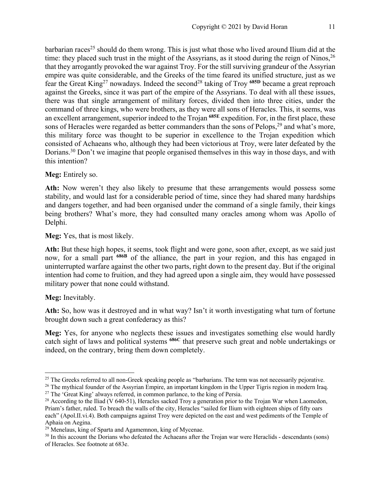barbarian races<sup>25</sup> should do them wrong. This is just what those who lived around Ilium did at the time: they placed such trust in the might of the Assyrians, as it stood during the reign of Ninos, <sup>26</sup> that they arrogantly provoked the war against Troy. For the still surviving grandeur of the Assyrian empire was quite considerable, and the Greeks of the time feared its unified structure, just as we fear the Great King27 nowadays. Indeed the second28 taking of Troy **685D** became a great reproach against the Greeks, since it was part of the empire of the Assyrians. To deal with all these issues, there was that single arrangement of military forces, divided then into three cities, under the command of three kings, who were brothers, as they were all sons of Heracles. This, it seems, was an excellent arrangement, superior indeed to the Trojan **685E** expedition. For, in the first place, these sons of Heracles were regarded as better commanders than the sons of Pelops,  $29$  and what's more, this military force was thought to be superior in excellence to the Trojan expedition which consisted of Achaeans who, although they had been victorious at Troy, were later defeated by the Dorians.<sup>30</sup> Don't we imagine that people organised themselves in this way in those days, and with this intention?

Meg: Entirely so.

Ath: Now weren't they also likely to presume that these arrangements would possess some stability, and would last for a considerable period of time, since they had shared many hardships and dangers together, and had been organised under the command of a single family, their kings being brothers? What's more, they had consulted many oracles among whom was Apollo of Delphi.

**Meg:** Yes, that is most likely.

**Ath:** But these high hopes, it seems, took flight and were gone, soon after, except, as we said just now, for a small part **686B** of the alliance, the part in your region, and this has engaged in uninterrupted warfare against the other two parts, right down to the present day. But if the original intention had come to fruition, and they had agreed upon a single aim, they would have possessed military power that none could withstand.

# **Meg:** Inevitably.

**Ath:** So, how was it destroyed and in what way? Isn't it worth investigating what turn of fortune brought down such a great confederacy as this?

**Meg:** Yes, for anyone who neglects these issues and investigates something else would hardly catch sight of laws and political systems **686C** that preserve such great and noble undertakings or indeed, on the contrary, bring them down completely.

<sup>&</sup>lt;sup>25</sup> The Greeks referred to all non-Greek speaking people as "barbarians. The term was not necessarily pejorative.<br><sup>26</sup> The mythical founder of the Assyrian Empire, an important kingdom in the Upper Tigris region in moder

<sup>&</sup>lt;sup>28</sup> According to the Iliad (V 640-51), Heracles sacked Troy a generation prior to the Trojan War when Laomedon, Priam's father, ruled. To breach the walls of the city, Heracles "sailed for Ilium with eighteen ships of fifty oars each" (Apol.II.vi.4). Both campaigns against Troy were depicted on the east and west pediments of the Temple of Aphaia on Aegina.

<sup>&</sup>lt;sup>29</sup> Menelaus, king of Sparta and Agamemnon, king of Mycenae.

<sup>&</sup>lt;sup>30</sup> In this account the Dorians who defeated the Achaeans after the Trojan war were Heraclids - descendants (sons) of Heracles. See footnote at 683e.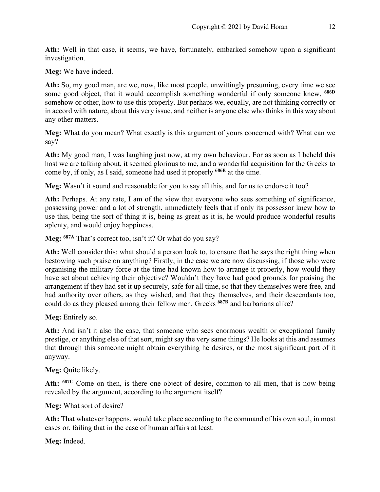**Ath:** Well in that case, it seems, we have, fortunately, embarked somehow upon a significant investigation.

**Meg:** We have indeed.

**Ath:** So, my good man, are we, now, like most people, unwittingly presuming, every time we see some good object, that it would accomplish something wonderful if only someone knew, **686D** somehow or other, how to use this properly. But perhaps we, equally, are not thinking correctly or in accord with nature, about this very issue, and neither is anyone else who thinks in this way about any other matters.

**Meg:** What do you mean? What exactly is this argument of yours concerned with? What can we say?

**Ath:** My good man, I was laughing just now, at my own behaviour. For as soon as I beheld this host we are talking about, it seemed glorious to me, and a wonderful acquisition for the Greeks to come by, if only, as I said, someone had used it properly **686E** at the time.

**Meg:** Wasn't it sound and reasonable for you to say all this, and for us to endorse it too?

**Ath:** Perhaps. At any rate, I am of the view that everyone who sees something of significance, possessing power and a lot of strength, immediately feels that if only its possessor knew how to use this, being the sort of thing it is, being as great as it is, he would produce wonderful results aplenty, and would enjoy happiness.

Meg: <sup>687A</sup> That's correct too, isn't it? Or what do you say?

**Ath:** Well consider this: what should a person look to, to ensure that he says the right thing when bestowing such praise on anything? Firstly, in the case we are now discussing, if those who were organising the military force at the time had known how to arrange it properly, how would they have set about achieving their objective? Wouldn't they have had good grounds for praising the arrangement if they had set it up securely, safe for all time, so that they themselves were free, and had authority over others, as they wished, and that they themselves, and their descendants too, could do as they pleased among their fellow men, Greeks **687B** and barbarians alike?

**Meg:** Entirely so.

**Ath:** And isn't it also the case, that someone who sees enormous wealth or exceptional family prestige, or anything else of that sort, might say the very same things? He looks at this and assumes that through this someone might obtain everything he desires, or the most significant part of it anyway.

**Meg:** Quite likely.

**Ath: 687C** Come on then, is there one object of desire, common to all men, that is now being revealed by the argument, according to the argument itself?

**Meg:** What sort of desire?

**Ath:** That whatever happens, would take place according to the command of his own soul, in most cases or, failing that in the case of human affairs at least.

**Meg:** Indeed.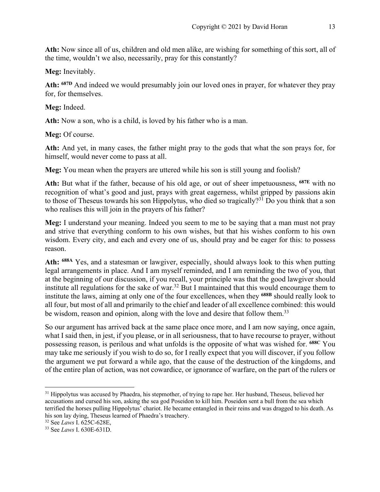**Ath:** Now since all of us, children and old men alike, are wishing for something of this sort, all of the time, wouldn't we also, necessarily, pray for this constantly?

**Meg:** Inevitably.

**Ath: 687D** And indeed we would presumably join our loved ones in prayer, for whatever they pray for, for themselves.

**Meg:** Indeed.

**Ath:** Now a son, who is a child, is loved by his father who is a man.

**Meg:** Of course.

**Ath:** And yet, in many cases, the father might pray to the gods that what the son prays for, for himself, would never come to pass at all.

**Meg:** You mean when the prayers are uttered while his son is still young and foolish?

**Ath:** But what if the father, because of his old age, or out of sheer impetuousness, **687E** with no recognition of what's good and just, prays with great eagerness, whilst gripped by passions akin to those of Theseus towards his son Hippolytus, who died so tragically?<sup>31</sup> Do you think that a son who realises this will join in the prayers of his father?

**Meg:** I understand your meaning. Indeed you seem to me to be saying that a man must not pray and strive that everything conform to his own wishes, but that his wishes conform to his own wisdom. Every city, and each and every one of us, should pray and be eager for this: to possess reason.

**Ath: 688A** Yes, and a statesman or lawgiver, especially, should always look to this when putting legal arrangements in place. And I am myself reminded, and I am reminding the two of you, that at the beginning of our discussion, if you recall, your principle was that the good lawgiver should institute all regulations for the sake of war.<sup>32</sup> But I maintained that this would encourage them to institute the laws, aiming at only one of the four excellences, when they **688B** should really look to all four, but most of all and primarily to the chief and leader of all excellence combined: this would be wisdom, reason and opinion, along with the love and desire that follow them.<sup>33</sup>

So our argument has arrived back at the same place once more, and I am now saying, once again, what I said then, in jest, if you please, or in all seriousness, that to have recourse to prayer, without possessing reason, is perilous and what unfolds is the opposite of what was wished for. **688C** You may take me seriously if you wish to do so, for I really expect that you will discover, if you follow the argument we put forward a while ago, that the cause of the destruction of the kingdoms, and of the entire plan of action, was not cowardice, or ignorance of warfare, on the part of the rulers or

<sup>&</sup>lt;sup>31</sup> Hippolytus was accused by Phaedra, his stepmother, of trying to rape her. Her husband, Theseus, believed her accusations and cursed his son, asking the sea god Poseidon to kill him. Poseidon sent a bull from the sea which terrified the horses pulling Hippolytus' chariot. He became entangled in their reins and was dragged to his death. As his son lay dying, Theseus learned of Phaedra's treachery.

<sup>32</sup> See *Laws* I. 625C-628E,

<sup>33</sup> See *Laws* I. 630E-631D.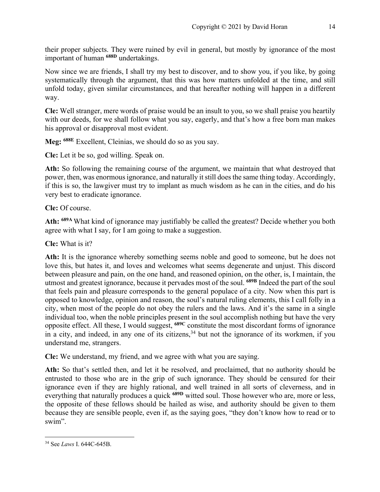their proper subjects. They were ruined by evil in general, but mostly by ignorance of the most important of human **688D** undertakings.

Now since we are friends, I shall try my best to discover, and to show you, if you like, by going systematically through the argument, that this was how matters unfolded at the time, and still unfold today, given similar circumstances, and that hereafter nothing will happen in a different way.

**Cle:** Well stranger, mere words of praise would be an insult to you, so we shall praise you heartily with our deeds, for we shall follow what you say, eagerly, and that's how a free born man makes his approval or disapproval most evident.

**Meg: 688E** Excellent, Cleinias, we should do so as you say.

**Cle:** Let it be so, god willing. Speak on.

**Ath:** So following the remaining course of the argument, we maintain that what destroyed that power, then, was enormous ignorance, and naturally it still does the same thing today. Accordingly, if this is so, the lawgiver must try to implant as much wisdom as he can in the cities, and do his very best to eradicate ignorance.

**Cle:** Of course.

**Ath: 689A** What kind of ignorance may justifiably be called the greatest? Decide whether you both agree with what I say, for I am going to make a suggestion.

**Cle:** What is it?

**Ath:** It is the ignorance whereby something seems noble and good to someone, but he does not love this, but hates it, and loves and welcomes what seems degenerate and unjust. This discord between pleasure and pain, on the one hand, and reasoned opinion, on the other, is, I maintain, the utmost and greatest ignorance, because it pervades most of the soul. **689B** Indeed the part of the soul that feels pain and pleasure corresponds to the general populace of a city. Now when this part is opposed to knowledge, opinion and reason, the soul's natural ruling elements, this I call folly in a city, when most of the people do not obey the rulers and the laws. And it's the same in a single individual too, when the noble principles present in the soul accomplish nothing but have the very opposite effect. All these, I would suggest, **689C** constitute the most discordant forms of ignorance in a city, and indeed, in any one of its citizens,<sup>34</sup> but not the ignorance of its workmen, if you understand me, strangers.

**Cle:** We understand, my friend, and we agree with what you are saying.

**Ath:** So that's settled then, and let it be resolved, and proclaimed, that no authority should be entrusted to those who are in the grip of such ignorance. They should be censured for their ignorance even if they are highly rational, and well trained in all sorts of cleverness, and in everything that naturally produces a quick **689D** witted soul. Those however who are, more or less, the opposite of these fellows should be hailed as wise, and authority should be given to them because they are sensible people, even if, as the saying goes, "they don't know how to read or to swim".

<sup>34</sup> See *Laws* I. 644C-645B.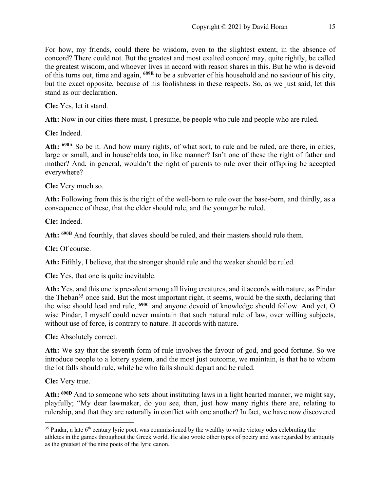For how, my friends, could there be wisdom, even to the slightest extent, in the absence of concord? There could not. But the greatest and most exalted concord may, quite rightly, be called the greatest wisdom, and whoever lives in accord with reason shares in this. But he who is devoid of this turns out, time and again, **689E** to be a subverter of his household and no saviour of his city, but the exact opposite, because of his foolishness in these respects. So, as we just said, let this stand as our declaration.

**Cle:** Yes, let it stand.

**Ath:** Now in our cities there must, I presume, be people who rule and people who are ruled.

**Cle:** Indeed.

**Ath: 690A** So be it. And how many rights, of what sort, to rule and be ruled, are there, in cities, large or small, and in households too, in like manner? Isn't one of these the right of father and mother? And, in general, wouldn't the right of parents to rule over their offspring be accepted everywhere?

**Cle:** Very much so.

**Ath:** Following from this is the right of the well-born to rule over the base-born, and thirdly, as a consequence of these, that the elder should rule, and the younger be ruled.

**Cle:** Indeed.

**Ath: 690B** And fourthly, that slaves should be ruled, and their masters should rule them.

**Cle:** Of course.

**Ath:** Fifthly, I believe, that the stronger should rule and the weaker should be ruled.

**Cle:** Yes, that one is quite inevitable.

**Ath:** Yes, and this one is prevalent among all living creatures, and it accords with nature, as Pindar the Theban<sup>35</sup> once said. But the most important right, it seems, would be the sixth, declaring that the wise should lead and rule, **690C** and anyone devoid of knowledge should follow. And yet, O wise Pindar, I myself could never maintain that such natural rule of law, over willing subjects, without use of force, is contrary to nature. It accords with nature.

**Cle:** Absolutely correct.

**Ath:** We say that the seventh form of rule involves the favour of god, and good fortune. So we introduce people to a lottery system, and the most just outcome, we maintain, is that he to whom the lot falls should rule, while he who fails should depart and be ruled.

**Cle:** Very true.

**Ath: 690D** And to someone who sets about instituting laws in a light hearted manner, we might say, playfully; "My dear lawmaker, do you see, then, just how many rights there are, relating to rulership, and that they are naturally in conflict with one another? In fact, we have now discovered

 $35$  Pindar, a late  $6<sup>th</sup>$  century lyric poet, was commissioned by the wealthy to write victory odes celebrating the athletes in the games throughout the Greek world. He also wrote other types of poetry and was regarded by antiquity as the greatest of the nine poets of the lyric canon.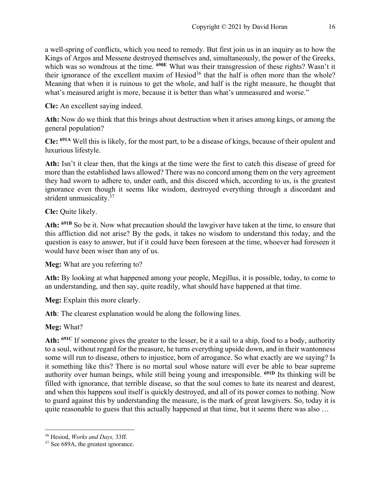a well-spring of conflicts, which you need to remedy. But first join us in an inquiry as to how the Kings of Argos and Messene destroyed themselves and, simultaneously, the power of the Greeks, which was so wondrous at the time. **690E** What was their transgression of these rights? Wasn't it their ignorance of the excellent maxim of  $Hesiod<sup>36</sup>$  that the half is often more than the whole? Meaning that when it is ruinous to get the whole, and half is the right measure, he thought that what's measured aright is more, because it is better than what's unmeasured and worse."

**Cle:** An excellent saying indeed.

**Ath:** Now do we think that this brings about destruction when it arises among kings, or among the general population?

**Cle: 691A** Well this is likely, for the most part, to be a disease of kings, because of their opulent and luxurious lifestyle.

**Ath:** Isn't it clear then, that the kings at the time were the first to catch this disease of greed for more than the established laws allowed? There was no concord among them on the very agreement they had sworn to adhere to, under oath, and this discord which, according to us, is the greatest ignorance even though it seems like wisdom, destroyed everything through a discordant and strident unmusicality.<sup>37</sup>

**Cle:** Quite likely.

**Ath: 691B** So be it. Now what precaution should the lawgiver have taken at the time, to ensure that this affliction did not arise? By the gods, it takes no wisdom to understand this today, and the question is easy to answer, but if it could have been foreseen at the time, whoever had foreseen it would have been wiser than any of us.

**Meg:** What are you referring to?

**Ath:** By looking at what happened among your people, Megillus, it is possible, today, to come to an understanding, and then say, quite readily, what should have happened at that time.

**Meg:** Explain this more clearly.

**Ath**: The clearest explanation would be along the following lines.

**Meg:** What?

**Ath: 691C** If someone gives the greater to the lesser, be it a sail to a ship, food to a body, authority to a soul, without regard for the measure, he turns everything upside down, and in their wantonness some will run to disease, others to injustice, born of arrogance. So what exactly are we saying? Is it something like this? There is no mortal soul whose nature will ever be able to bear supreme authority over human beings, while still being young and irresponsible. **691D** Its thinking will be filled with ignorance, that terrible disease, so that the soul comes to hate its nearest and dearest, and when this happens soul itself is quickly destroyed, and all of its power comes to nothing. Now to guard against this by understanding the measure, is the mark of great lawgivers. So, today it is quite reasonable to guess that this actually happened at that time, but it seems there was also ...

<sup>36</sup> Hesiod, *Works and Days,* 33ff.

<sup>&</sup>lt;sup>37</sup> See 689A, the greatest ignorance.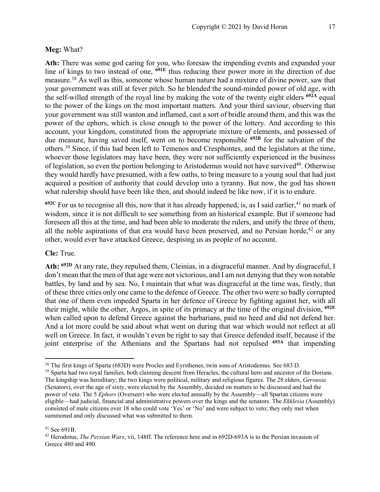Ath: There was some god caring for you, who foresaw the impending events and expanded your line of kings to two instead of one, **691E** thus reducing their power more in the direction of due measure.38 As well as this, someone whose human nature had a mixture of divine power, saw that your government was still at fever pitch. So he blended the sound-minded power of old age, with the self-willed strength of the royal line by making the vote of the twenty eight elders **692A** equal to the power of the kings on the most important matters. And your third saviour, observing that your government was still wanton and inflamed, cast a sort of bridle around them, and this was the power of the ephors, which is close enough to the power of the lottery. And according to this account, your kingdom, constituted from the appropriate mixture of elements, and possessed of due measure, having saved itself, went on to become responsible **692B** for the salvation of the others.39 Since, if this had been left to Temenos and Cresphontes, and the legislators at the time, whoever those legislators may have been, they were not sufficiently experienced in the business of legislation, so even the portion belonging to Aristodemus would not have survived<sup>40</sup>. Otherwise they would hardly have presumed, with a few oaths, to bring measure to a young soul that had just acquired a position of authority that could develop into a tyranny. But now, the god has shown what rulership should have been like then, and should indeed be like now, if it is to endure.

 $692C$  For us to recognise all this, now that it has already happened, is, as I said earlier,  $41$  no mark of wisdom, since it is not difficult to see something from an historical example. But if someone had foreseen all this at the time, and had been able to moderate the rulers, and unify the three of them, all the noble aspirations of that era would have been preserved, and no Persian horde,<sup>42</sup> or any other, would ever have attacked Greece, despising us as people of no account.

#### **Cle:** True.

**Ath: 692D** At any rate, they repulsed them, Cleinias, in a disgraceful manner. And by disgraceful, I don't mean that the men of that age were not victorious, and I am not denying that they won notable battles, by land and by sea. No, I maintain that what was disgraceful at the time was, firstly, that of these three cities only one came to the defence of Greece. The other two were so badly corrupted that one of them even impeded Sparta in her defence of Greece by fighting against her, with all their might, while the other, Argos, in spite of its primacy at the time of the original division, **692E** when called upon to defend Greece against the barbarians, paid no heed and did not defend her. And a lot more could be said about what went on during that war which would not reflect at all well on Greece. In fact, it wouldn't even be right to say that Greece defended itself, because if the joint enterprise of the Athenians and the Spartans had not repulsed **693A** that impending

<sup>&</sup>lt;sup>38</sup> The first kings of Sparta (683D) were Procles and Eyrsthenes, twin sons of Aristodemus. See 683 D.

<sup>&</sup>lt;sup>39</sup> Sparta had two royal families, both claiming descent from Heracles, the cultural hero and ancestor of the Dorians. The kingship was hereditary; the two kings were political, military and religious figures. The 28 elders, *Gerousia* (Senators), over the age of sixty, were elected by the Assembly, decided on matters to be discussed and had the power of veto. The 5 *Ephors* (Overseer) who were elected annually by the Assembly—all Spartan citizens were eligible—had judicial, financial and administrative powers over the kings and the senators. The *Ekklesia* (Assembly) consisted of male citizens over 18 who could vote 'Yes' or 'No' and were subject to veto; they only met when summoned and only discussed what was submitted to them.

 $41$  See 691B.

<sup>42</sup> Herodotus, *The Persian Wars*, vii, 148ff. The reference here and in 692D-693A is to the Persian invasion of Greece 480 and 490.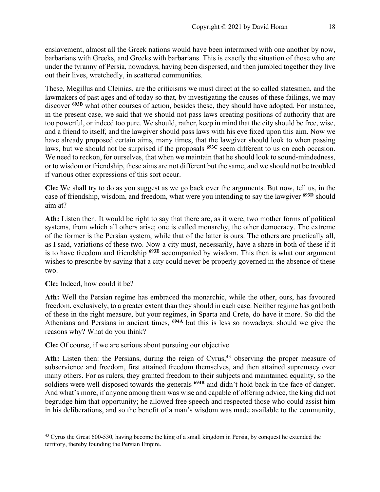enslavement, almost all the Greek nations would have been intermixed with one another by now, barbarians with Greeks, and Greeks with barbarians. This is exactly the situation of those who are under the tyranny of Persia, nowadays, having been dispersed, and then jumbled together they live out their lives, wretchedly, in scattered communities.

These, Megillus and Cleinias, are the criticisms we must direct at the so called statesmen, and the lawmakers of past ages and of today so that, by investigating the causes of these failings, we may discover <sup>693B</sup> what other courses of action, besides these, they should have adopted. For instance, in the present case, we said that we should not pass laws creating positions of authority that are too powerful, or indeed too pure. We should, rather, keep in mind that the city should be free, wise, and a friend to itself, and the lawgiver should pass laws with his eye fixed upon this aim. Now we have already proposed certain aims, many times, that the lawgiver should look to when passing laws, but we should not be surprised if the proposals **693C** seem different to us on each occasion. We need to reckon, for ourselves, that when we maintain that he should look to sound-mindedness, or to wisdom or friendship, these aims are not different but the same, and we should not be troubled if various other expressions of this sort occur.

**Cle:** We shall try to do as you suggest as we go back over the arguments. But now, tell us, in the case of friendship, wisdom, and freedom, what were you intending to say the lawgiver **693D** should aim at?

**Ath:** Listen then. It would be right to say that there are, as it were, two mother forms of political systems, from which all others arise; one is called monarchy, the other democracy. The extreme of the former is the Persian system, while that of the latter is ours. The others are practically all, as I said, variations of these two. Now a city must, necessarily, have a share in both of these if it is to have freedom and friendship **693E** accompanied by wisdom. This then is what our argument wishes to prescribe by saying that a city could never be properly governed in the absence of these two.

**Cle:** Indeed, how could it be?

**Ath:** Well the Persian regime has embraced the monarchic, while the other, ours, has favoured freedom, exclusively, to a greater extent than they should in each case. Neither regime has got both of these in the right measure, but your regimes, in Sparta and Crete, do have it more. So did the Athenians and Persians in ancient times, **694A** but this is less so nowadays: should we give the reasons why? What do you think?

**Cle:** Of course, if we are serious about pursuing our objective.

Ath: Listen then: the Persians, during the reign of Cyrus,<sup>43</sup> observing the proper measure of subservience and freedom, first attained freedom themselves, and then attained supremacy over many others. For as rulers, they granted freedom to their subjects and maintained equality, so the soldiers were well disposed towards the generals **694B** and didn't hold back in the face of danger. And what's more, if anyone among them was wise and capable of offering advice, the king did not begrudge him that opportunity; he allowed free speech and respected those who could assist him in his deliberations, and so the benefit of a man's wisdom was made available to the community,

<sup>&</sup>lt;sup>43</sup> Cyrus the Great 600-530, having become the king of a small kingdom in Persia, by conquest he extended the territory, thereby founding the Persian Empire.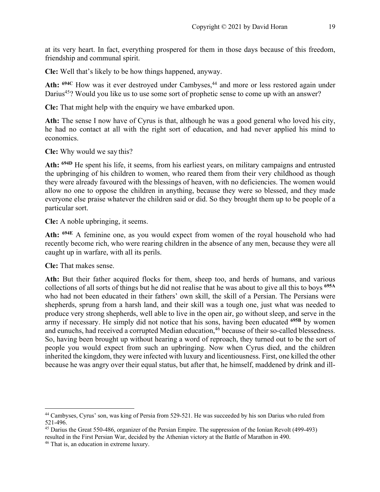at its very heart. In fact, everything prospered for them in those days because of this freedom, friendship and communal spirit.

**Cle:** Well that's likely to be how things happened, anyway.

Ath: <sup>694C</sup> How was it ever destroyed under Cambyses,<sup>44</sup> and more or less restored again under Darius<sup>45</sup>? Would you like us to use some sort of prophetic sense to come up with an answer?

**Cle:** That might help with the enquiry we have embarked upon.

**Ath:** The sense I now have of Cyrus is that, although he was a good general who loved his city, he had no contact at all with the right sort of education, and had never applied his mind to economics.

**Cle:** Why would we say this?

**Ath: 694D** He spent his life, it seems, from his earliest years, on military campaigns and entrusted the upbringing of his children to women, who reared them from their very childhood as though they were already favoured with the blessings of heaven, with no deficiencies. The women would allow no one to oppose the children in anything, because they were so blessed, and they made everyone else praise whatever the children said or did. So they brought them up to be people of a particular sort.

**Cle:** A noble upbringing, it seems.

**Ath: 694E** A feminine one, as you would expect from women of the royal household who had recently become rich, who were rearing children in the absence of any men, because they were all caught up in warfare, with all its perils.

**Cle:** That makes sense.

**Ath:** But their father acquired flocks for them, sheep too, and herds of humans, and various collections of all sorts of things but he did not realise that he was about to give all this to boys **695A** who had not been educated in their fathers' own skill, the skill of a Persian. The Persians were shepherds, sprung from a harsh land, and their skill was a tough one, just what was needed to produce very strong shepherds, well able to live in the open air, go without sleep, and serve in the army if necessary. He simply did not notice that his sons, having been educated **695B** by women and eunuchs, had received a corrupted Median education,<sup>46</sup> because of their so-called blessedness. So, having been brought up without hearing a word of reproach, they turned out to be the sort of people you would expect from such an upbringing. Now when Cyrus died, and the children inherited the kingdom, they were infected with luxury and licentiousness. First, one killed the other because he was angry over their equal status, but after that, he himself, maddened by drink and ill-

<sup>44</sup> Cambyses, Cyrus' son, was king of Persia from 529-521. He was succeeded by his son Darius who ruled from

<sup>521-496.&</sup>lt;br><sup>45</sup> Darius the Great 550-486, organizer of the Persian Empire. The suppression of the Ionian Revolt (499-493) resulted in the First Persian War, decided by the Athenian victory at the Battle of Marathon in 490.

<sup>46</sup> That is, an education in extreme luxury.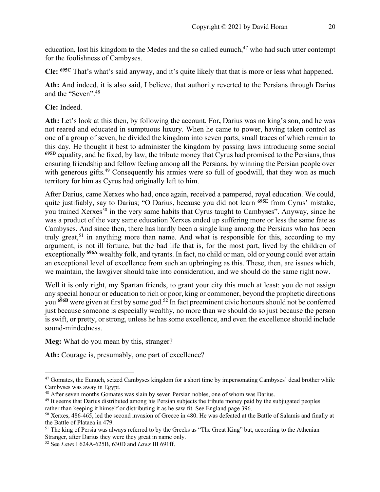education, lost his kingdom to the Medes and the so called eunuch,  $47$  who had such utter contempt for the foolishness of Cambyses.

**Cle: 695C** That's what's said anyway, and it's quite likely that that is more or less what happened.

**Ath:** And indeed, it is also said, I believe, that authority reverted to the Persians through Darius and the "Seven".48

**Cle:** Indeed.

**Ath:** Let's look at this then, by following the account. For**,** Darius was no king's son, and he was not reared and educated in sumptuous luxury. When he came to power, having taken control as one of a group of seven, he divided the kingdom into seven parts, small traces of which remain to this day. He thought it best to administer the kingdom by passing laws introducing some social <sup>695D</sup> equality, and he fixed, by law, the tribute money that Cyrus had promised to the Persians, thus ensuring friendship and fellow feeling among all the Persians, by winning the Persian people over with generous gifts.<sup>49</sup> Consequently his armies were so full of goodwill, that they won as much territory for him as Cyrus had originally left to him.

After Darius, came Xerxes who had, once again, received a pampered, royal education. We could, quite justifiably, say to Darius; "O Darius, because you did not learn **695E** from Cyrus' mistake, you trained Xerxes<sup>50</sup> in the very same habits that Cyrus taught to Cambyses". Anyway, since he was a product of the very same education Xerxes ended up suffering more or less the same fate as Cambyses. And since then, there has hardly been a single king among the Persians who has been truly great,<sup>51</sup> in anything more than name. And what is responsible for this, according to my argument, is not ill fortune, but the bad life that is, for the most part, lived by the children of exceptionally **696A** wealthy folk, and tyrants. In fact, no child or man, old or young could ever attain an exceptional level of excellence from such an upbringing as this. These, then, are issues which, we maintain, the lawgiver should take into consideration, and we should do the same right now.

Well it is only right, my Spartan friends, to grant your city this much at least: you do not assign any special honour or education to rich or poor, king or commoner, beyond the prophetic directions you **696B** were given at first by some god.52 In fact preeminent civic honours should not be conferred just because someone is especially wealthy, no more than we should do so just because the person is swift, or pretty, or strong, unless he has some excellence, and even the excellence should include sound-mindedness.

**Meg:** What do you mean by this, stranger?

Ath: Courage is, presumably, one part of excellence?

<sup>&</sup>lt;sup>47</sup> Gomates, the Eunuch, seized Cambyses kingdom for a short time by impersonating Cambyses' dead brother while Cambyses was away in Egypt.

<sup>&</sup>lt;sup>48</sup> After seven months Gomates was slain by seven Persian nobles, one of whom was Darius.

<sup>&</sup>lt;sup>49</sup> It seems that Darius distributed among his Persian subjects the tribute money paid by the subjugated peoples rather than keeping it himself or distributing it as he saw fit. See England page 396.<br><sup>50</sup> Xerxes, 486-465, led the second invasion of Greece in 480. He was defeated at the Battle of Salamis and finally at

the Battle of Plataea in 479.

<sup>&</sup>lt;sup>51</sup> The king of Persia was always referred to by the Greeks as "The Great King" but, according to the Athenian Stranger, after Darius they were they great in name only.

<sup>52</sup> See *Laws* I 624A-625B, 630D and *Laws* III 691ff.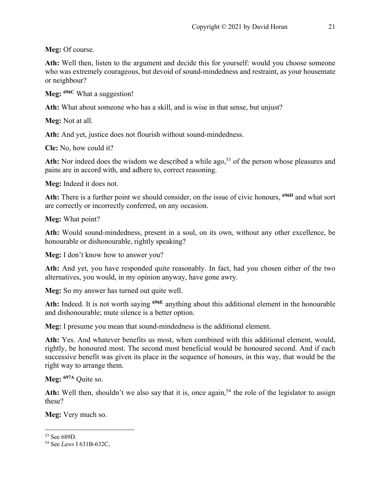**Meg:** Of course.

**Ath:** Well then, listen to the argument and decide this for yourself: would you choose someone who was extremely courageous, but devoid of sound-mindedness and restraint, as your housemate or neighbour?

**Meg: 696C** What a suggestion!

**Ath:** What about someone who has a skill, and is wise in that sense, but unjust?

**Meg:** Not at all.

**Ath:** And yet, justice does not flourish without sound-mindedness.

**Cle:** No, how could it?

Ath: Nor indeed does the wisdom we described a while ago,<sup>53</sup> of the person whose pleasures and pains are in accord with, and adhere to, correct reasoning.

**Meg:** Indeed it does not.

**Ath:** There is a further point we should consider, on the issue of civic honours, **696D** and what sort are correctly or incorrectly conferred, on any occasion.

**Meg:** What point?

**Ath:** Would sound-mindedness, present in a soul, on its own, without any other excellence, be honourable or dishonourable, rightly speaking?

**Meg:** I don't know how to answer you?

**Ath:** And yet, you have responded quite reasonably. In fact, had you chosen either of the two alternatives, you would, in my opinion anyway, have gone awry.

**Meg:** So my answer has turned out quite well.

**Ath:** Indeed. It is not worth saying **696E** anything about this additional element in the honourable and dishonourable; mute silence is a better option.

**Meg:** I presume you mean that sound-mindedness is the additional element.

**Ath:** Yes. And whatever benefits us most, when combined with this additional element, would, rightly, be honoured most. The second most beneficial would be honoured second. And if each successive benefit was given its place in the sequence of honours, in this way, that would be the right way to arrange them.

**Meg: 697A** Quite so.

Ath: Well then, shouldn't we also say that it is, once again,<sup>54</sup> the role of the legislator to assign these?

**Meg:** Very much so.

<sup>53</sup> See 689D.

<sup>54</sup> See *Laws* I 631B-632C,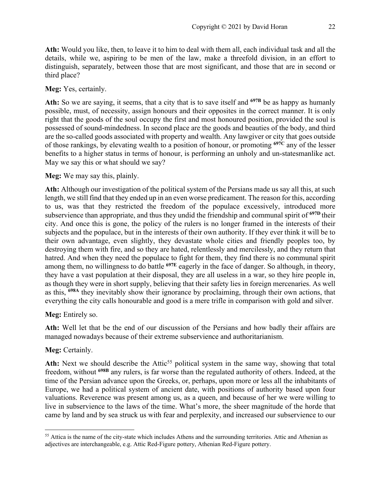**Ath:** Would you like, then, to leave it to him to deal with them all, each individual task and all the details, while we, aspiring to be men of the law, make a threefold division, in an effort to distinguish, separately, between those that are most significant, and those that are in second or third place?

#### **Meg:** Yes, certainly.

**Ath:** So we are saying, it seems, that a city that is to save itself and **697B** be as happy as humanly possible, must, of necessity, assign honours and their opposites in the correct manner. It is only right that the goods of the soul occupy the first and most honoured position, provided the soul is possessed of sound-mindedness. In second place are the goods and beauties of the body, and third are the so-called goods associated with property and wealth. Any lawgiver or city that goes outside of those rankings, by elevating wealth to a position of honour, or promoting **697C** any of the lesser benefits to a higher status in terms of honour, is performing an unholy and un-statesmanlike act. May we say this or what should we say?

#### **Meg:** We may say this, plainly.

**Ath:** Although our investigation of the political system of the Persians made us say all this, at such length, we still find that they ended up in an even worse predicament. The reason for this, according to us, was that they restricted the freedom of the populace excessively, introduced more subservience than appropriate, and thus they undid the friendship and communal spirit of **697D** their city. And once this is gone, the policy of the rulers is no longer framed in the interests of their subjects and the populace, but in the interests of their own authority. If they ever think it will be to their own advantage, even slightly, they devastate whole cities and friendly peoples too, by destroying them with fire, and so they are hated, relentlessly and mercilessly, and they return that hatred. And when they need the populace to fight for them, they find there is no communal spirit among them, no willingness to do battle **697E** eagerly in the face of danger. So although, in theory, they have a vast population at their disposal, they are all useless in a war, so they hire people in, as though they were in short supply, believing that their safety lies in foreign mercenaries. As well as this, **698A** they inevitably show their ignorance by proclaiming, through their own actions, that everything the city calls honourable and good is a mere trifle in comparison with gold and silver.

#### **Meg:** Entirely so.

**Ath:** Well let that be the end of our discussion of the Persians and how badly their affairs are managed nowadays because of their extreme subservience and authoritarianism.

#### **Meg:** Certainly.

Ath: Next we should describe the Attic<sup>55</sup> political system in the same way, showing that total freedom, without **698B** any rulers, is far worse than the regulated authority of others. Indeed, at the time of the Persian advance upon the Greeks, or, perhaps, upon more or less all the inhabitants of Europe, we had a political system of ancient date, with positions of authority based upon four valuations. Reverence was present among us, as a queen, and because of her we were willing to live in subservience to the laws of the time. What's more, the sheer magnitude of the horde that came by land and by sea struck us with fear and perplexity, and increased our subservience to our

<sup>&</sup>lt;sup>55</sup> Attica is the name of the city-state which includes Athens and the surrounding territories. Attic and Athenian as adjectives are interchangeable, e.g. Attic Red-Figure pottery, Athenian Red-Figure pottery.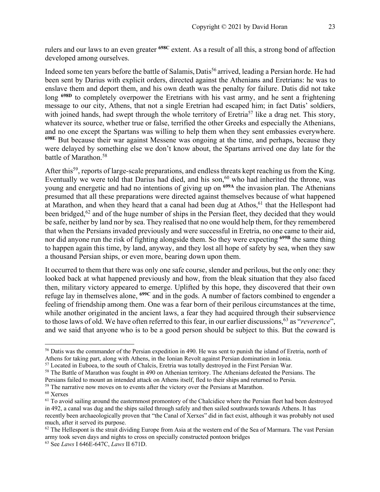rulers and our laws to an even greater **698C** extent. As a result of all this, a strong bond of affection developed among ourselves.

Indeed some ten years before the battle of Salamis, Datis<sup>56</sup> arrived, leading a Persian horde. He had been sent by Darius with explicit orders, directed against the Athenians and Eretrians: he was to enslave them and deport them, and his own death was the penalty for failure. Datis did not take long **698D** to completely overpower the Eretrians with his vast army, and he sent a frightening message to our city, Athens, that not a single Eretrian had escaped him; in fact Datis' soldiers, with joined hands, had swept through the whole territory of Eretria<sup>57</sup> like a drag net. This story, whatever its source, whether true or false, terrified the other Greeks and especially the Athenians, and no one except the Spartans was willing to help them when they sent embassies everywhere. **698E** But because their war against Messene was ongoing at the time, and perhaps, because they were delayed by something else we don't know about, the Spartans arrived one day late for the battle of Marathon.<sup>58</sup>

After this<sup>59</sup>, reports of large-scale preparations, and endless threats kept reaching us from the King. Eventually we were told that Darius had died, and his son,  $60$  who had inherited the throne, was young and energetic and had no intentions of giving up on **699A** the invasion plan. The Athenians presumed that all these preparations were directed against themselves because of what happened at Marathon, and when they heard that a canal had been dug at Athos,<sup>61</sup> that the Hellespont had been bridged,<sup>62</sup> and of the huge number of ships in the Persian fleet, they decided that they would be safe, neither by land nor by sea. They realised that no one would help them, for they remembered that when the Persians invaded previously and were successful in Eretria, no one came to their aid, nor did anyone run the risk of fighting alongside them. So they were expecting **699B** the same thing to happen again this time, by land, anyway, and they lost all hope of safety by sea, when they saw a thousand Persian ships, or even more, bearing down upon them.

It occurred to them that there was only one safe course, slender and perilous, but the only one: they looked back at what happened previously and how, from the bleak situation that they also faced then, military victory appeared to emerge. Uplifted by this hope, they discovered that their own refuge lay in themselves alone, **699C** and in the gods. A number of factors combined to engender a feeling of friendship among them. One was a fear born of their perilous circumstances at the time, while another originated in the ancient laws, a fear they had acquired through their subservience to those laws of old. We have often referred to this fear, in our earlier discussions,63 as "*reverence*", and we said that anyone who is to be a good person should be subject to this. But the coward is

<sup>&</sup>lt;sup>56</sup> Datis was the commander of the Persian expedition in 490. He was sent to punish the island of Eretria, north of

Athens for taking part, along with Athens, in the Ionian Revolt against Persian domination in Ionia.<br><sup>57</sup> Located in Euboea, to the south of Chalcis, Eretria was totally destroyed in the First Persian War.

<sup>&</sup>lt;sup>58</sup> The Battle of Marathon was fought in 490 on Athenian territory. The Athenians defeated the Persians. The

Persians failed to mount an intended attack on Athens itself, fled to their ships and returned to Persia.

 $59$  The narrative now moves on to events after the victory over the Persians at Marathon.  $60$  Xerxes

 $<sup>61</sup>$  To avoid sailing around the easternmost promontory of the Chalcidice where the Persian fleet had been destroyed</sup> in 492, a canal was dug and the ships sailed through safely and then sailed southwards towards Athens. It has recently been archaeologically proven that "the Canal of Xerxes" did in fact exist, although it was probably not used much, after it served its purpose.

 $62$  The Hellespont is the strait dividing Europe from Asia at the western end of the Sea of Marmara. The vast Persian army took seven days and nights to cross on specially constructed pontoon bridges

<sup>63</sup> See *Laws* I 646E-647C, *Laws* II 671D.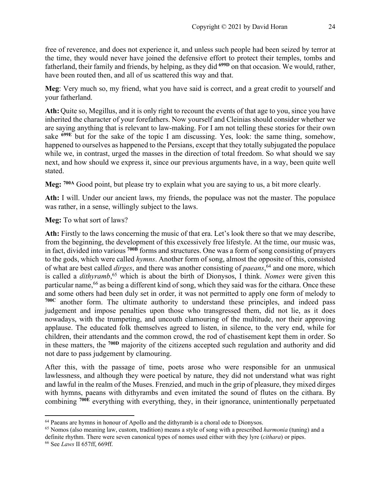free of reverence, and does not experience it, and unless such people had been seized by terror at the time, they would never have joined the defensive effort to protect their temples, tombs and fatherland, their family and friends, by helping, as they did **699D** on that occasion. We would, rather, have been routed then, and all of us scattered this way and that.

**Meg**: Very much so, my friend, what you have said is correct, and a great credit to yourself and your fatherland.

**Ath:** Quite so, Megillus, and it is only right to recount the events of that age to you, since you have inherited the character of your forefathers. Now yourself and Cleinias should consider whether we are saying anything that is relevant to law-making. For I am not telling these stories for their own sake **699E** but for the sake of the topic I am discussing. Yes, look: the same thing, somehow, happened to ourselves as happened to the Persians, except that they totally subjugated the populace while we, in contrast, urged the masses in the direction of total freedom. So what should we say next, and how should we express it, since our previous arguments have, in a way, been quite well stated.

**Meg: 700A** Good point, but please try to explain what you are saying to us, a bit more clearly.

**Ath:** I will. Under our ancient laws, my friends, the populace was not the master. The populace was rather, in a sense, willingly subject to the laws.

**Meg:** To what sort of laws?

**Ath:** Firstly to the laws concerning the music of that era. Let's look there so that we may describe, from the beginning, the development of this excessively free lifestyle. At the time, our music was, in fact, divided into various **700B** forms and structures. One was a form of song consisting of prayers to the gods, which were called *hymns*. Another form of song, almost the opposite of this, consisted of what are best called *dirges*, and there was another consisting of *paeans*, <sup>64</sup> and one more, which is called a *dithyramb*, <sup>65</sup> which is about the birth of Dionysos, I think. *Nomes* were given this particular name,66 as being a different kind of song, which they said was for the cithara. Once these and some others had been duly set in order, it was not permitted to apply one form of melody to **700C** another form. The ultimate authority to understand these principles, and indeed pass judgement and impose penalties upon those who transgressed them, did not lie, as it does nowadays, with the trumpeting, and uncouth clamouring of the multitude, nor their approving applause. The educated folk themselves agreed to listen, in silence, to the very end, while for children, their attendants and the common crowd, the rod of chastisement kept them in order. So in these matters, the **700D** majority of the citizens accepted such regulation and authority and did not dare to pass judgement by clamouring.

After this, with the passage of time, poets arose who were responsible for an unmusical lawlessness, and although they were poetical by nature, they did not understand what was right and lawful in the realm of the Muses. Frenzied, and much in the grip of pleasure, they mixed dirges with hymns, paeans with dithyrambs and even imitated the sound of flutes on the cithara. By combining **700E** everything with everything, they, in their ignorance, unintentionally perpetuated

<sup>&</sup>lt;sup>64</sup> Paeans are hymns in honour of Apollo and the dithyramb is a choral ode to Dionysos.

<sup>65</sup> Nomos (also meaning law, custom, tradition) means a style of song with a prescribed *harmonia* (tuning) and a definite rhythm. There were seven canonical types of nomes used either with they lyre (*cithara*) or pipes.

<sup>66</sup> See *Laws* II 657ff, 669ff.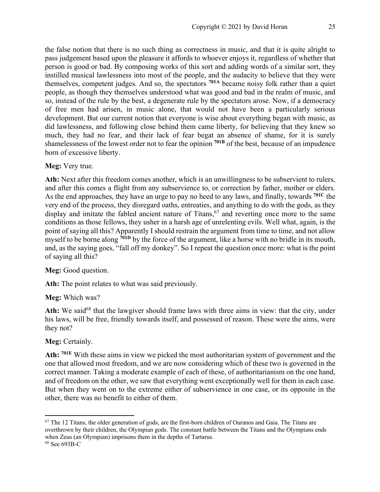the false notion that there is no such thing as correctness in music, and that it is quite alright to pass judgement based upon the pleasure it affords to whoever enjoys it, regardless of whether that person is good or bad. By composing works of this sort and adding words of a similar sort, they instilled musical lawlessness into most of the people, and the audacity to believe that they were themselves, competent judges. And so, the spectators **701A** became noisy folk rather than a quiet people, as though they themselves understood what was good and bad in the realm of music, and so, instead of the rule by the best, a degenerate rule by the spectators arose. Now, if a democracy of free men had arisen, in music alone, that would not have been a particularly serious development. But our current notion that everyone is wise about everything began with music, as did lawlessness, and following close behind them came liberty, for believing that they knew so much, they had no fear, and their lack of fear begat an absence of shame, for it is surely shamelessness of the lowest order not to fear the opinion **701B** of the best, because of an impudence born of excessive liberty.

#### **Meg:** Very true.

**Ath:** Next after this freedom comes another, which is an unwillingness to be subservient to rulers, and after this comes a flight from any subservience to, or correction by father, mother or elders. As the end approaches, they have an urge to pay no heed to any laws, and finally, towards **701C** the very end of the process, they disregard oaths, entreaties, and anything to do with the gods, as they display and imitate the fabled ancient nature of Titans,  $67$  and reverting once more to the same conditions as those fellows, they usher in a harsh age of unrelenting evils. Well what, again, is the point of saying all this? Apparently I should restrain the argument from time to time, and not allow myself to be borne along **701D** by the force of the argument, like a horse with no bridle in its mouth, and, as the saying goes, "fall off my donkey". So I repeat the question once more: what is the point of saying all this?

# **Meg:** Good question.

Ath: The point relates to what was said previously.

# **Meg:** Which was?

Ath: We said<sup>68</sup> that the lawgiver should frame laws with three aims in view: that the city, under his laws, will be free, friendly towards itself, and possessed of reason. These were the aims, were they not?

# **Meg:** Certainly.

**Ath: 701E** With these aims in view we picked the most authoritarian system of government and the one that allowed most freedom, and we are now considering which of these two is governed in the correct manner. Taking a moderate example of each of these, of authoritarianism on the one hand, and of freedom on the other, we saw that everything went exceptionally well for them in each case. But when they went on to the extreme either of subservience in one case, or its opposite in the other, there was no benefit to either of them.

<sup>&</sup>lt;sup>67</sup> The 12 Titans, the older generation of gods, are the first-born children of Ouranos and Gaia. The Titans are overthrown by their children, the Olympian gods. The constant battle between the Titans and the Olympians ends when Zeus (an Olympian) imprisons them in the depths of Tartarus.

<sup>68</sup> See 693B-C